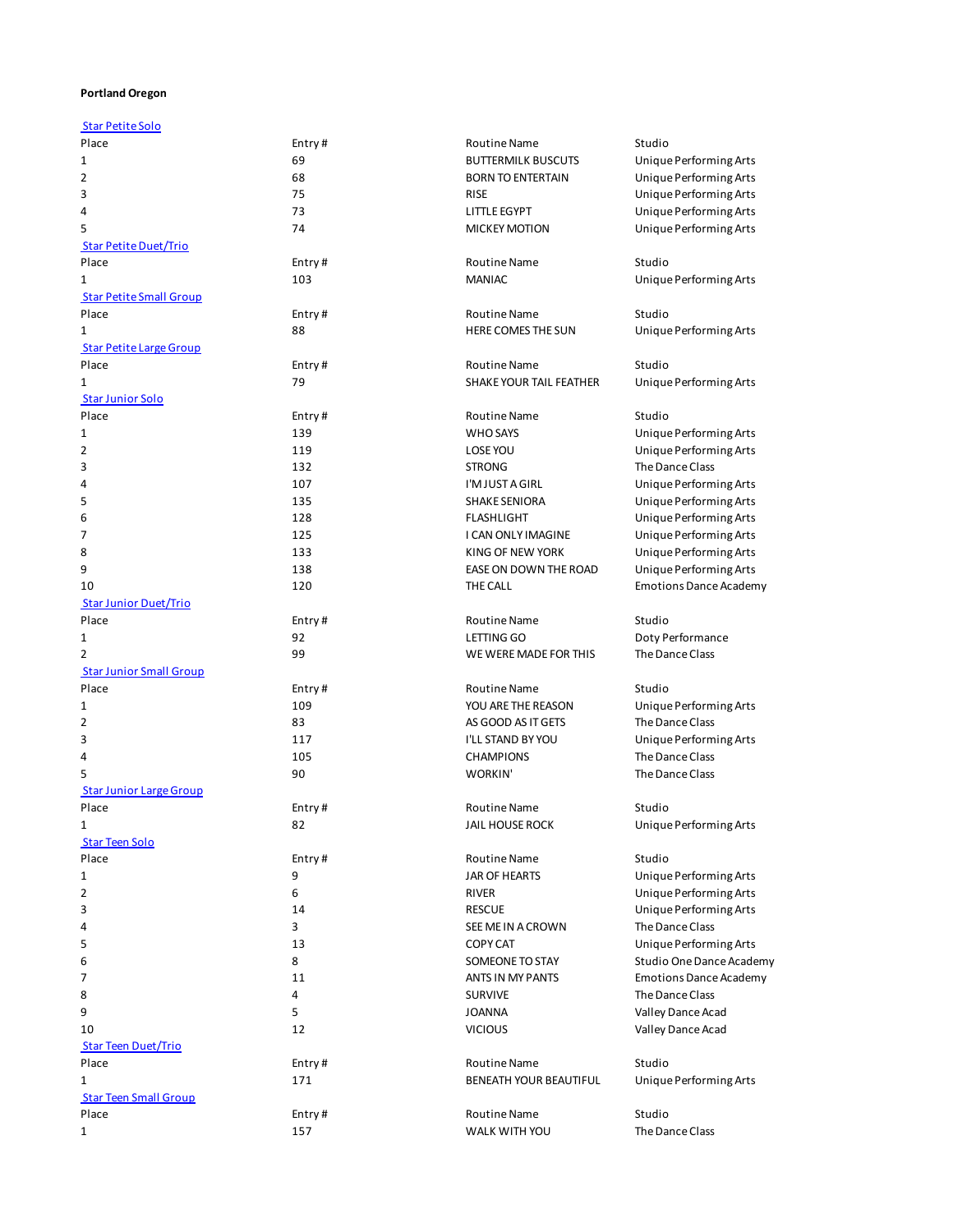## **Portland Oregon**

| <b>Star Petite Solo</b>        |        |                               |                               |
|--------------------------------|--------|-------------------------------|-------------------------------|
| Place                          | Entry# | <b>Routine Name</b>           | Studio                        |
| 1                              | 69     | <b>BUTTERMILK BUSCUTS</b>     | Unique Performing Arts        |
| 2                              | 68     | <b>BORN TO ENTERTAIN</b>      | Unique Performing Arts        |
| 3                              | 75     | <b>RISE</b>                   | Unique Performing Arts        |
| 4                              | 73     | LITTLE EGYPT                  | Unique Performing Arts        |
| 5                              | 74     | <b>MICKEY MOTION</b>          | Unique Performing Arts        |
| <b>Star Petite Duet/Trio</b>   |        |                               |                               |
| Place                          | Entry# | <b>Routine Name</b>           | Studio                        |
|                                | 103    | <b>MANIAC</b>                 |                               |
| 1                              |        |                               | Unique Performing Arts        |
| <b>Star Petite Small Group</b> |        |                               |                               |
| Place                          | Entry# | <b>Routine Name</b>           | Studio                        |
| 1                              | 88     | HERE COMES THE SUN            | Unique Performing Arts        |
| <b>Star Petite Large Group</b> |        |                               |                               |
| Place                          | Entry# | <b>Routine Name</b>           | Studio                        |
| 1                              | 79     | SHAKE YOUR TAIL FEATHER       | Unique Performing Arts        |
| <b>Star Junior Solo</b>        |        |                               |                               |
| Place                          | Entry# | <b>Routine Name</b>           | Studio                        |
| 1                              | 139    | <b>WHO SAYS</b>               | Unique Performing Arts        |
| 2                              | 119    | LOSE YOU                      | Unique Performing Arts        |
| 3                              | 132    | <b>STRONG</b>                 | The Dance Class               |
| 4                              | 107    | I'M JUST A GIRL               | Unique Performing Arts        |
| 5                              | 135    | <b>SHAKE SENIORA</b>          |                               |
|                                |        |                               | Unique Performing Arts        |
| 6                              | 128    | <b>FLASHLIGHT</b>             | Unique Performing Arts        |
| 7                              | 125    | I CAN ONLY IMAGINE            | Unique Performing Arts        |
| 8                              | 133    | <b>KING OF NEW YORK</b>       | Unique Performing Arts        |
| 9                              | 138    | EASE ON DOWN THE ROAD         | Unique Performing Arts        |
| 10                             | 120    | THE CALL                      | <b>Emotions Dance Academy</b> |
| <b>Star Junior Duet/Trio</b>   |        |                               |                               |
| Place                          | Entry# | <b>Routine Name</b>           | Studio                        |
| 1                              | 92     | LETTING GO                    | Doty Performance              |
| 2                              | 99     | WE WERE MADE FOR THIS         | The Dance Class               |
| <b>Star Junior Small Group</b> |        |                               |                               |
| Place                          | Entry# | <b>Routine Name</b>           | Studio                        |
| 1                              | 109    | YOU ARE THE REASON            | Unique Performing Arts        |
| 2                              | 83     | AS GOOD AS IT GETS            | The Dance Class               |
| 3                              | 117    | <b>I'LL STAND BY YOU</b>      |                               |
|                                |        |                               | Unique Performing Arts        |
| 4                              | 105    | <b>CHAMPIONS</b>              | The Dance Class               |
| 5                              | 90     | WORKIN'                       | The Dance Class               |
| <b>Star Junior Large Group</b> |        |                               |                               |
| Place                          | Entry# | <b>Routine Name</b>           | Studio                        |
| $\mathbf{1}$                   | 82     | JAIL HOUSE ROCK               | Unique Performing Arts        |
| <b>Star Teen Solo</b>          |        |                               |                               |
| Place                          | Entry# | Routine Name                  | Studio                        |
| 1                              | 9      | JAR OF HEARTS                 | Unique Performing Arts        |
| 2                              | 6      | <b>RIVER</b>                  | Unique Performing Arts        |
| 3                              | 14     | <b>RESCUE</b>                 | Unique Performing Arts        |
| 4                              | 3      | SEE ME IN A CROWN             | The Dance Class               |
| 5                              | 13     | <b>COPY CAT</b>               | Unique Performing Arts        |
| 6                              | 8      | SOMEONE TO STAY               | Studio One Dance Academy      |
|                                |        |                               |                               |
| 7                              | 11     | ANTS IN MY PANTS              | <b>Emotions Dance Academy</b> |
| 8                              | 4      | <b>SURVIVE</b>                | The Dance Class               |
| 9                              | 5      | <b>JOANNA</b>                 | Valley Dance Acad             |
| 10                             | 12     | <b>VICIOUS</b>                | Valley Dance Acad             |
| <b>Star Teen Duet/Trio</b>     |        |                               |                               |
| Place                          | Entry# | <b>Routine Name</b>           | Studio                        |
| 1                              | 171    | <b>BENEATH YOUR BEAUTIFUL</b> | Unique Performing Arts        |
| <b>Star Teen Small Group</b>   |        |                               |                               |
| Place                          | Entry# | <b>Routine Name</b>           | Studio                        |
| 1                              | 157    | WALK WITH YOU                 | The Dance Class               |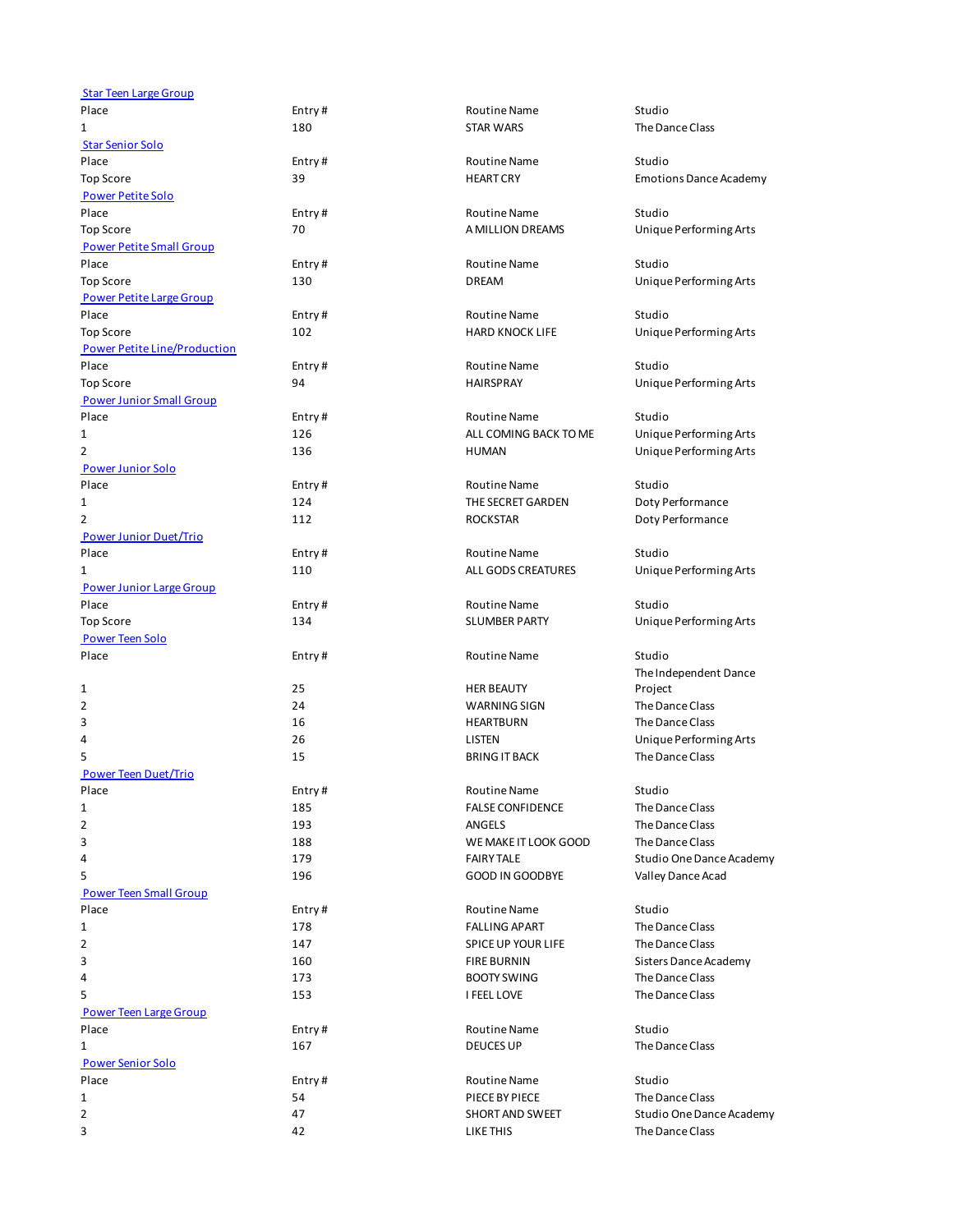| <b>Star Teen Large Group</b>        |        |                         |                                  |
|-------------------------------------|--------|-------------------------|----------------------------------|
| Place                               | Entry# | <b>Routine Name</b>     | Studio                           |
| 1                                   | 180    | <b>STAR WARS</b>        | The Dance Class                  |
| <b>Star Senior Solo</b>             |        |                         |                                  |
| Place                               | Entry# | <b>Routine Name</b>     | Studio                           |
| <b>Top Score</b>                    | 39     | <b>HEART CRY</b>        | <b>Emotions Dance Academy</b>    |
| <b>Power Petite Solo</b>            |        |                         |                                  |
| Place                               | Entry# | <b>Routine Name</b>     | Studio                           |
| <b>Top Score</b>                    | 70     | A MILLION DREAMS        | Unique Performing Arts           |
| <b>Power Petite Small Group</b>     |        |                         |                                  |
| Place                               | Entry# | <b>Routine Name</b>     | Studio                           |
| <b>Top Score</b>                    | 130    | <b>DREAM</b>            | Unique Performing Arts           |
| <b>Power Petite Large Group</b>     |        |                         |                                  |
| Place                               | Entry# | <b>Routine Name</b>     | Studio                           |
| <b>Top Score</b>                    | 102    | <b>HARD KNOCK LIFE</b>  | Unique Performing Arts           |
| <b>Power Petite Line/Production</b> |        |                         |                                  |
| Place                               | Entry# | <b>Routine Name</b>     | Studio                           |
| <b>Top Score</b>                    | 94     | <b>HAIRSPRAY</b>        | Unique Performing Arts           |
| <b>Power Junior Small Group</b>     |        |                         |                                  |
| Place                               | Entry# | <b>Routine Name</b>     | Studio                           |
| 1                                   | 126    | ALL COMING BACK TO ME   | Unique Performing Arts           |
| 2                                   | 136    | <b>HUMAN</b>            | Unique Performing Arts           |
| <b>Power Junior Solo</b>            |        |                         |                                  |
| Place                               | Entry# | <b>Routine Name</b>     | Studio                           |
| 1                                   | 124    | THE SECRET GARDEN       | Doty Performance                 |
| 2                                   | 112    | <b>ROCKSTAR</b>         | Doty Performance                 |
| <b>Power Junior Duet/Trio</b>       |        |                         |                                  |
| Place                               | Entry# | <b>Routine Name</b>     | Studio                           |
| 1                                   | 110    | ALL GODS CREATURES      | Unique Performing Arts           |
| <b>Power Junior Large Group</b>     |        |                         |                                  |
| Place                               | Entry# | <b>Routine Name</b>     | Studio                           |
| <b>Top Score</b>                    | 134    | <b>SLUMBER PARTY</b>    | Unique Performing Arts           |
| <b>Power Teen Solo</b>              |        |                         |                                  |
| Place                               | Entry# | <b>Routine Name</b>     | Studio                           |
|                                     |        |                         |                                  |
| 1                                   | 25     | <b>HER BEAUTY</b>       | The Independent Dance<br>Project |
| 2                                   | 24     | WARNING SIGN            | The Dance Class                  |
| 3                                   | 16     | <b>HEARTBURN</b>        | The Dance Class                  |
| 4                                   | 26     | LISTEN                  | Unique Performing Arts           |
| 5                                   | 15     | <b>BRING IT BACK</b>    | The Dance Class                  |
|                                     |        |                         |                                  |
| <b>Power Teen Duet/Trio</b>         |        |                         |                                  |
| Place                               | Entry# | <b>Routine Name</b>     | Studio                           |
| 1                                   | 185    | <b>FALSE CONFIDENCE</b> | The Dance Class                  |
| 2                                   | 193    | <b>ANGELS</b>           | The Dance Class                  |
| 3                                   | 188    | WE MAKE IT LOOK GOOD    | The Dance Class                  |
| 4                                   | 179    | <b>FAIRY TALE</b>       | Studio One Dance Academy         |
| 5                                   | 196    | <b>GOOD IN GOODBYE</b>  | Valley Dance Acad                |
| <b>Power Teen Small Group</b>       |        |                         |                                  |
| Place                               | Entry# | Routine Name            | Studio                           |
| 1                                   | 178    | <b>FALLING APART</b>    | The Dance Class                  |
| 2                                   | 147    | SPICE UP YOUR LIFE      | The Dance Class                  |
| 3                                   | 160    | <b>FIRE BURNIN</b>      | Sisters Dance Academy            |
| 4                                   | 173    | <b>BOOTY SWING</b>      | The Dance Class                  |
| 5                                   | 153    | I FEEL LOVE             | The Dance Class                  |
| <b>Power Teen Large Group</b>       |        |                         |                                  |
| Place                               | Entry# | <b>Routine Name</b>     | Studio                           |
| 1                                   | 167    | <b>DEUCES UP</b>        | The Dance Class                  |
| <b>Power Senior Solo</b>            |        |                         |                                  |
| Place                               | Entry# | Routine Name            | Studio                           |
| 1                                   | 54     | PIECE BY PIECE          | The Dance Class                  |
| 2                                   | 47     | SHORT AND SWEET         | Studio One Dance Academy         |
| 3                                   | 42     | LIKE THIS               | The Dance Class                  |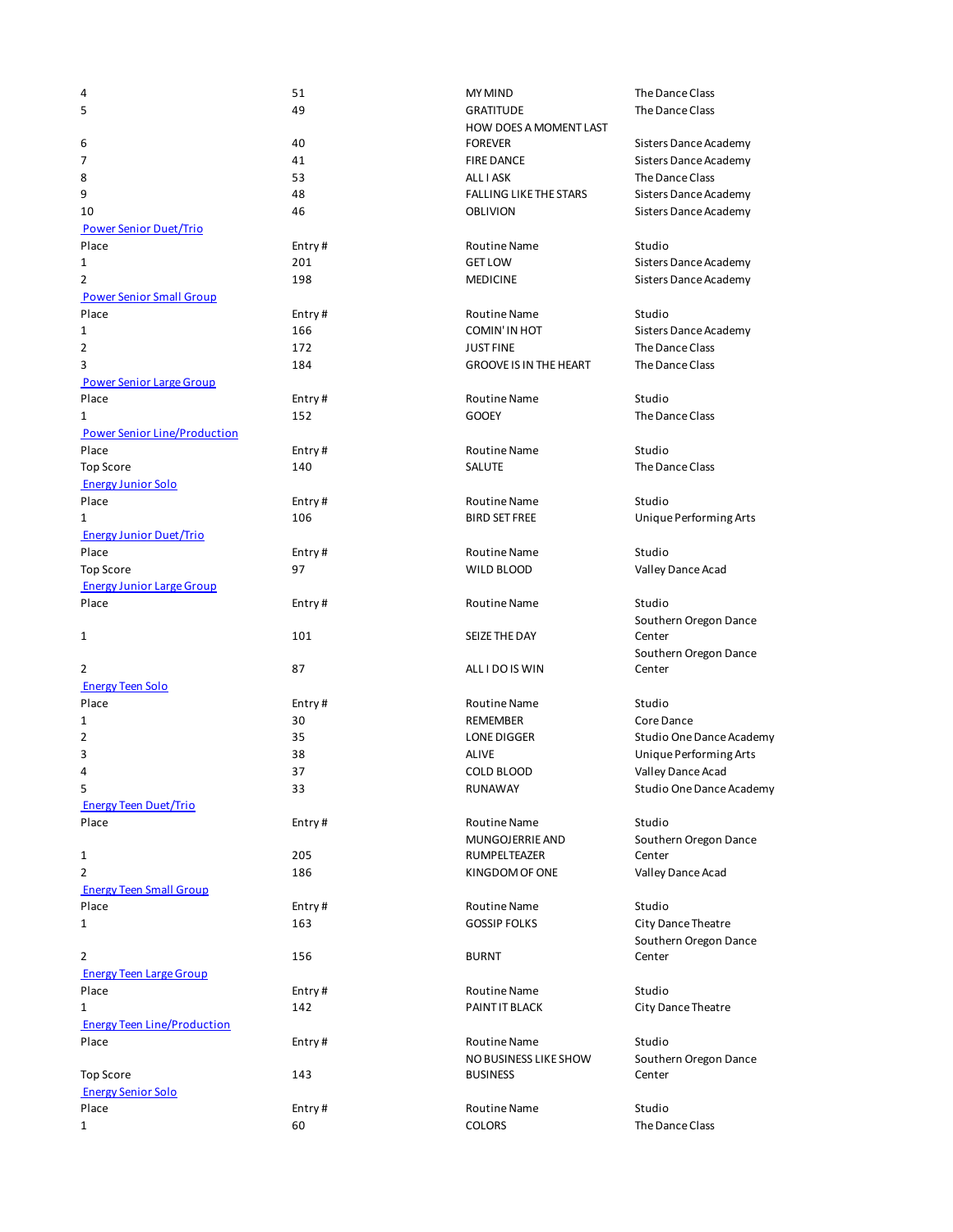| 4                                   | 51     | <b>MY MIND</b>                | The Dance C         |
|-------------------------------------|--------|-------------------------------|---------------------|
| 5                                   | 49     | <b>GRATITUDE</b>              | The Dance C         |
|                                     |        | <b>HOW DOES A MOMENT LAST</b> |                     |
| 6                                   | 40     | <b>FOREVER</b>                | <b>Sisters Danc</b> |
| 7                                   | 41     | <b>FIRE DANCE</b>             | <b>Sisters Danc</b> |
| 8                                   | 53     | ALL I ASK                     | The Dance C         |
| 9                                   | 48     | <b>FALLING LIKE THE STARS</b> | Sisters Danc        |
| 10                                  | 46     | <b>OBLIVION</b>               | <b>Sisters Danc</b> |
| <b>Power Senior Duet/Trio</b>       |        |                               |                     |
| Place                               | Entry# | Routine Name                  | Studio              |
| 1                                   | 201    | <b>GET LOW</b>                | <b>Sisters Danc</b> |
| $\overline{2}$                      | 198    | <b>MEDICINE</b>               | <b>Sisters Danc</b> |
| <b>Power Senior Small Group</b>     |        |                               |                     |
| Place                               | Entry# | Routine Name                  | Studio              |
| 1                                   | 166    | <b>COMIN'IN HOT</b>           | Sisters Danc        |
| $\overline{2}$                      | 172    | <b>JUST FINE</b>              | The Dance C         |
| 3                                   | 184    | <b>GROOVE IS IN THE HEART</b> | The Dance C         |
| <b>Power Senior Large Group</b>     |        |                               |                     |
| Place                               |        |                               | Studio              |
|                                     | Entry# | Routine Name                  |                     |
| 1                                   | 152    | <b>GOOEY</b>                  | The Dance C         |
| <b>Power Senior Line/Production</b> |        |                               |                     |
| Place                               | Entry# | <b>Routine Name</b>           | Studio              |
| <b>Top Score</b>                    | 140    | SALUTE                        | The Dance C         |
| <b>Energy Junior Solo</b>           |        |                               |                     |
| Place                               | Entry# | Routine Name                  | Studio              |
| 1                                   | 106    | <b>BIRD SET FREE</b>          | Unique Perf         |
| <b>Energy Junior Duet/Trio</b>      |        |                               |                     |
| Place                               | Entry# | <b>Routine Name</b>           | Studio              |
| Top Score                           | 97     | WILD BLOOD                    | Valley Danc         |
| <b>Energy Junior Large Group</b>    |        |                               |                     |
| Place                               | Entry# | <b>Routine Name</b>           | Studio              |
|                                     |        |                               | Southern Or         |
| 1                                   | 101    | SEIZE THE DAY                 | Center              |
|                                     |        |                               | Southern Or         |
| 2                                   | 87     | ALL I DO IS WIN               | Center              |
| <b>Energy Teen Solo</b>             |        |                               |                     |
| Place                               | Entry# | <b>Routine Name</b>           | Studio              |
| 1                                   | 30     | <b>REMEMBER</b>               | Core Dance          |
| 2                                   | 35     | LONE DIGGER                   | Studio One          |
| 3                                   | 38     | <b>ALIVE</b>                  | Unique Perf         |
| 4                                   | 37     | <b>COLD BLOOD</b>             | Valley Danc         |
|                                     | 33     | RUNAWAY                       | Studio One          |
| <b>Energy Teen Duet/Trio</b>        |        |                               |                     |
| Place                               | Entry# | <b>Routine Name</b>           | Studio              |
|                                     |        | MUNGOJERRIE AND               | Southern Or         |
| 1                                   | 205    | RUMPELTEAZER                  | Center              |
| 2                                   | 186    | KINGDOM OF ONE                | Valley Danc         |
| <b>Energy Teen Small Group</b>      |        |                               |                     |
| Place                               |        | <b>Routine Name</b>           | Studio              |
| $\mathbf{1}$                        | Entry# | <b>GOSSIP FOLKS</b>           |                     |
|                                     | 163    |                               | City Dance 1        |
|                                     |        |                               | Southern Or         |
| 2                                   | 156    | <b>BURNT</b>                  | Center              |
| <b>Energy Teen Large Group</b>      |        |                               |                     |
| Place                               | Entry# | Routine Name                  | Studio              |
| $\mathbf{1}$                        | 142    | PAINT IT BLACK                | City Dance 1        |
| <b>Energy Teen Line/Production</b>  |        |                               |                     |
| Place                               | Entry# | Routine Name                  | Studio              |
|                                     |        | NO BUSINESS LIKE SHOW         | Southern Or         |
| <b>Top Score</b>                    | 143    | <b>BUSINESS</b>               | Center              |
| <b>Energy Senior Solo</b>           |        |                               |                     |
| Place                               | Entry# | <b>Routine Name</b>           | Studio              |
| 1                                   | 60     | <b>COLORS</b>                 | The Dance C         |

| 51      | <b>MY MIND</b>                | The Dance Class                 |
|---------|-------------------------------|---------------------------------|
| 19      | <b>GRATITUDE</b>              | The Dance Class                 |
|         | <b>HOW DOES A MOMENT LAST</b> |                                 |
| 40      | <b>FOREVER</b>                | Sisters Dance Academy           |
| 41      | <b>FIRE DANCE</b>             | Sisters Dance Academy           |
| 53      | ALL I ASK                     | The Dance Class                 |
| 18      | <b>FALLING LIKE THE STARS</b> | Sisters Dance Academy           |
| 46      | <b>OBLIVION</b>               | Sisters Dance Academy           |
|         |                               |                                 |
| Entry#  | Routine Name                  | Studio                          |
| 201     | <b>GET LOW</b>                | Sisters Dance Academy           |
| 198     | <b>MEDICINE</b>               | Sisters Dance Academy           |
|         |                               |                                 |
| Entry # | Routine Name                  | Studio                          |
| 166     | COMIN'IN HOT                  | Sisters Dance Academy           |
| 172     | <b>JUST FINE</b>              | The Dance Class                 |
| 184     | <b>GROOVE IS IN THE HEART</b> | The Dance Class                 |
| Entry # | <b>Routine Name</b>           | Studio                          |
| 152     | <b>GOOEY</b>                  | The Dance Class                 |
|         |                               |                                 |
| Entry#  | <b>Routine Name</b>           | Studio                          |
| 140     | <b>SALUTE</b>                 | The Dance Class                 |
|         |                               |                                 |
| Entry#  | <b>Routine Name</b>           | Studio                          |
| 106     | <b>BIRD SET FREE</b>          | Unique Performing Arts          |
|         |                               |                                 |
| Entry # | Routine Name                  | Studio                          |
| 97      | WILD BLOOD                    | Valley Dance Acad               |
|         |                               | Studio                          |
| Entry # | <b>Routine Name</b>           |                                 |
| 101     | SEIZE THE DAY                 | Southern Oregon Dance<br>Center |
|         |                               |                                 |
| 37      | ALL I DO IS WIN               | Southern Oregon Dance<br>Center |
|         |                               |                                 |
| Entry # | <b>Routine Name</b>           | Studio                          |
| 30      | <b>REMEMBER</b>               | Core Dance                      |
| 35      | <b>LONE DIGGER</b>            | Studio One Dance Academy        |
| 38      | <b>ALIVE</b>                  | Unique Performing Arts          |
| 37      | COLD BLOOD                    | Valley Dance Acad               |
| 33      | RUNAWAY                       | Studio One Dance Academy        |
|         |                               |                                 |
| Entry # | Routine Name                  | Studio                          |
|         | MUNGOJERRIE AND               | Southern Oregon Dance           |
| 205     | RUMPELTEAZER                  | Center                          |
| 186     | KINGDOM OF ONE                | Valley Dance Acad               |
|         | <b>Routine Name</b>           | Studio                          |
| Entry#  | <b>GOSSIP FOLKS</b>           |                                 |
| 163     |                               | City Dance Theatre              |
| 156     | <b>BURNT</b>                  | Southern Oregon Dance<br>Center |
|         |                               |                                 |
| Entry#  | Routine Name                  | Studio                          |
| 142     | PAINT IT BLACK                | City Dance Theatre              |
|         |                               |                                 |
| Entry # | <b>Routine Name</b>           | Studio                          |
|         | NO BUSINESS LIKE SHOW         | Southern Oregon Dance           |
| 143     | <b>BUSINESS</b>               | Center                          |
| Entry # | <b>Routine Name</b>           | Studio                          |
| 50      | <b>COLORS</b>                 | The Dance Class                 |
|         |                               |                                 |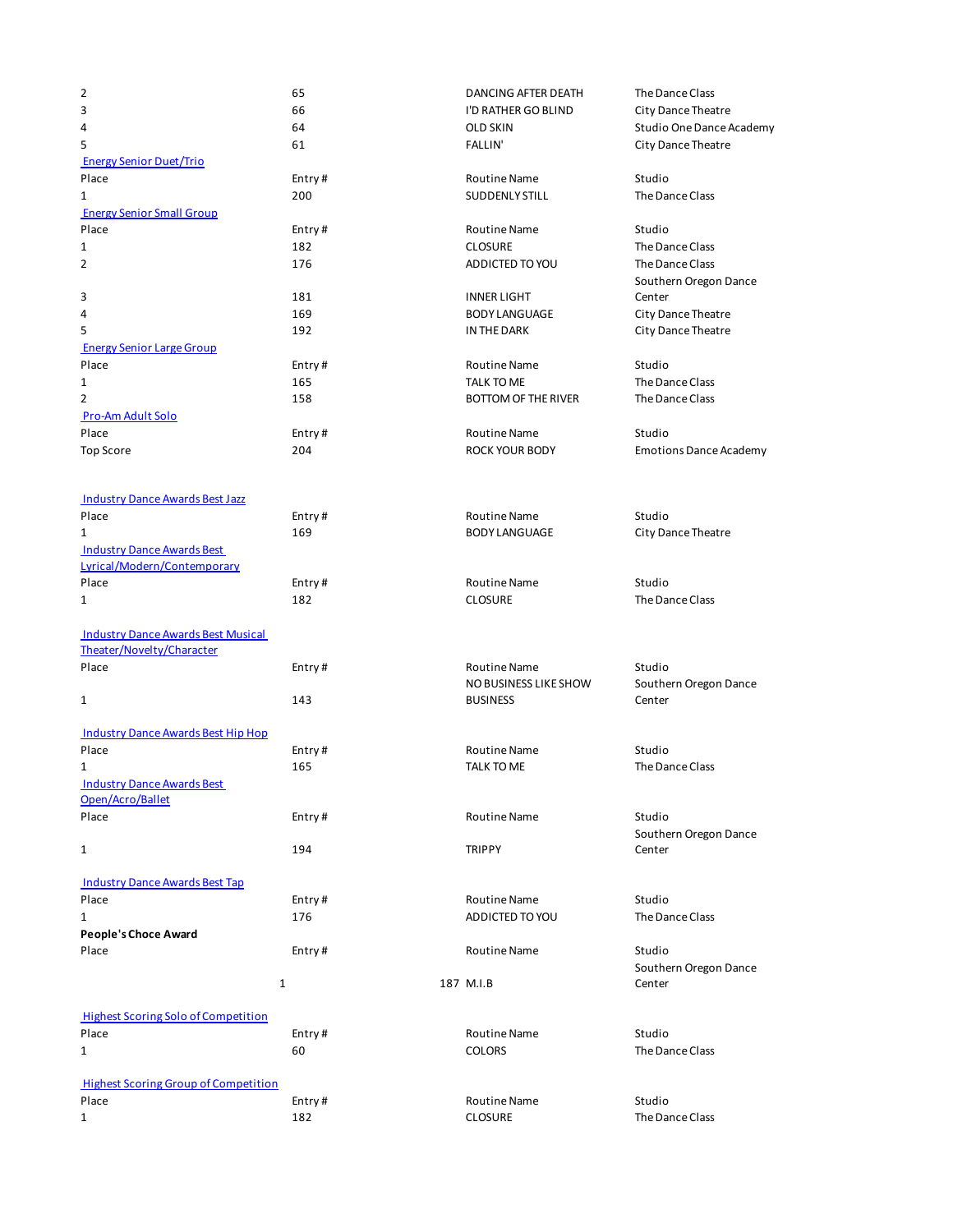| 2                                                                      | 65            | DANCING AFTER DEATH            | The Dance Class               |
|------------------------------------------------------------------------|---------------|--------------------------------|-------------------------------|
| 3                                                                      | 66            | I'D RATHER GO BLIND            | City Dance Theatre            |
| 4                                                                      | 64            | <b>OLD SKIN</b>                | Studio One Dance Academy      |
| 5                                                                      | 61            | <b>FALLIN'</b>                 | City Dance Theatre            |
| <b>Energy Senior Duet/Trio</b>                                         |               |                                |                               |
| Place                                                                  | Entry#        | <b>Routine Name</b>            | Studio                        |
| 1                                                                      | 200           | <b>SUDDENLY STILL</b>          | The Dance Class               |
| <b>Energy Senior Small Group</b>                                       |               |                                |                               |
| Place                                                                  | Entry#        | <b>Routine Name</b>            | Studio                        |
| 1                                                                      | 182           | <b>CLOSURE</b>                 | The Dance Class               |
| 2                                                                      | 176           | ADDICTED TO YOU                | The Dance Class               |
|                                                                        |               |                                | Southern Oregon Dance         |
| 3                                                                      | 181           | <b>INNER LIGHT</b>             | Center                        |
| 4                                                                      | 169           | <b>BODY LANGUAGE</b>           | City Dance Theatre            |
| 5                                                                      | 192           | IN THE DARK                    | City Dance Theatre            |
| <b>Energy Senior Large Group</b>                                       |               |                                |                               |
| Place                                                                  | Entry#        | <b>Routine Name</b>            | Studio                        |
| 1                                                                      | 165           | TALK TO ME                     | The Dance Class               |
| 2                                                                      | 158           | <b>BOTTOM OF THE RIVER</b>     | The Dance Class               |
| Pro-Am Adult Solo                                                      |               |                                |                               |
| Place                                                                  | Entry#        | <b>Routine Name</b>            | Studio                        |
| <b>Top Score</b>                                                       | 204           | ROCK YOUR BODY                 | <b>Emotions Dance Academy</b> |
|                                                                        |               |                                |                               |
|                                                                        |               |                                |                               |
| <b>Industry Dance Awards Best Jazz</b>                                 |               |                                |                               |
| Place                                                                  | Entry#        | <b>Routine Name</b>            | Studio                        |
| 1                                                                      | 169           | <b>BODY LANGUAGE</b>           | City Dance Theatre            |
| <b>Industry Dance Awards Best</b>                                      |               |                                |                               |
| Lyrical/Modern/Contemporary                                            |               |                                |                               |
| Place                                                                  | Entry#        | <b>Routine Name</b>            | Studio                        |
| 1                                                                      | 182           | <b>CLOSURE</b>                 | The Dance Class               |
| <b>Industry Dance Awards Best Musical</b><br>Theater/Novelty/Character |               |                                |                               |
| Place                                                                  | Entry#        | <b>Routine Name</b>            | Studio                        |
|                                                                        |               | NO BUSINESS LIKE SHOW          | Southern Oregon Dance         |
| $\mathbf{1}$                                                           | 143           | <b>BUSINESS</b>                | Center                        |
|                                                                        |               |                                |                               |
| <b>Industry Dance Awards Best Hip Hop</b>                              |               |                                |                               |
| Place                                                                  | Entry#        | <b>Routine Name</b>            | Studio                        |
| 1                                                                      | 165           | TALK TO ME                     | The Dance Class               |
| <b>Industry Dance Awards Best</b>                                      |               |                                |                               |
| Open/Acro/Ballet                                                       |               |                                |                               |
| Place                                                                  | Entry#        | <b>Routine Name</b>            | Studio                        |
|                                                                        |               |                                | Southern Oregon Dance         |
| $\mathbf{1}$                                                           | 194           | <b>TRIPPY</b>                  | Center                        |
|                                                                        |               |                                |                               |
| <b>Industry Dance Awards Best Tap</b>                                  |               |                                |                               |
| Place                                                                  | Entry#        | <b>Routine Name</b>            | Studio                        |
| 1                                                                      | 176           | ADDICTED TO YOU                | The Dance Class               |
| People's Choce Award                                                   |               |                                |                               |
| Place                                                                  | Entry#        | <b>Routine Name</b>            | Studio                        |
|                                                                        |               |                                | Southern Oregon Dance         |
| $\mathbf{1}$                                                           |               | 187 M.I.B                      | Center                        |
|                                                                        |               |                                |                               |
| <b>Highest Scoring Solo of Competition</b>                             |               |                                |                               |
| Place                                                                  | Entry#        | Routine Name                   | Studio                        |
| $\mathbf{1}$                                                           | 60            | <b>COLORS</b>                  | The Dance Class               |
|                                                                        |               |                                |                               |
| <b>Highest Scoring Group of Competition</b>                            |               |                                |                               |
|                                                                        |               |                                |                               |
| Place<br>$\mathbf{1}$                                                  | Entry#<br>182 | Routine Name<br><b>CLOSURE</b> | Studio<br>The Dance Class     |